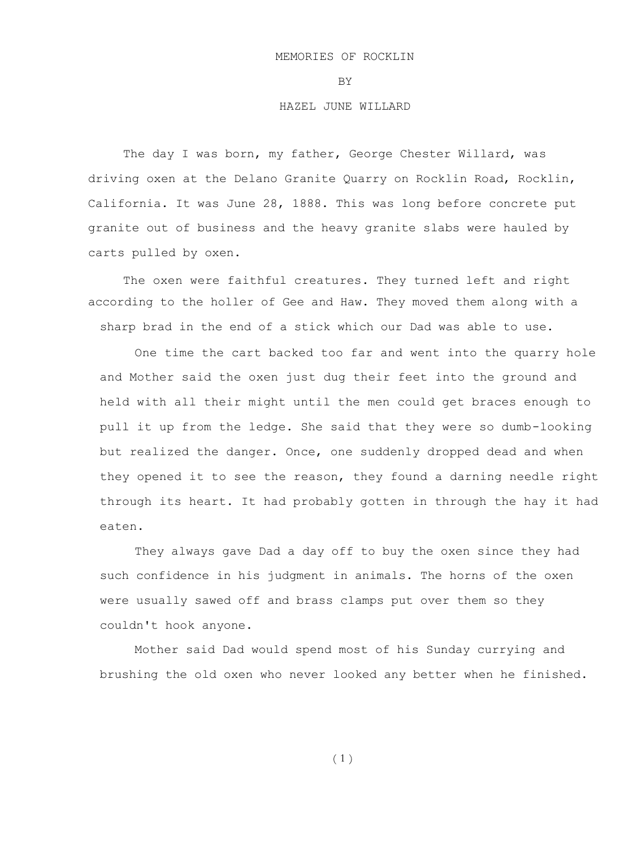## MEMORIES OF ROCKLIN

## **BY**

## HAZEL JUNE WILLARD

The day I was born, my father, George Chester Willard, was driving oxen at the Delano Granite Quarry on Rocklin Road, Rocklin, California. It was June 28, 1888. This was long before concrete put granite out of business and the heavy granite slabs were hauled by carts pulled by oxen.

The oxen were faithful creatures. They turned left and right according to the holler of Gee and Haw. They moved them along with a sharp brad in the end of a stick which our Dad was able to use.

One time the cart backed too far and went into the quarry hole and Mother said the oxen just dug their feet into the ground and held with all their might until the men could get braces enough to pull it up from the ledge. She said that they were so dumb-looking but realized the danger. Once, one suddenly dropped dead and when they opened it to see the reason, they found a darning needle right through its heart. It had probably gotten in through the hay it had eaten.

They always gave Dad a day off to buy the oxen since they had such confidence in his judgment in animals. The horns of the oxen were usually sawed off and brass clamps put over them so they couldn't hook anyone.

Mother said Dad would spend most of his Sunday currying and brushing the old oxen who never looked any better when he finished.

( 1 )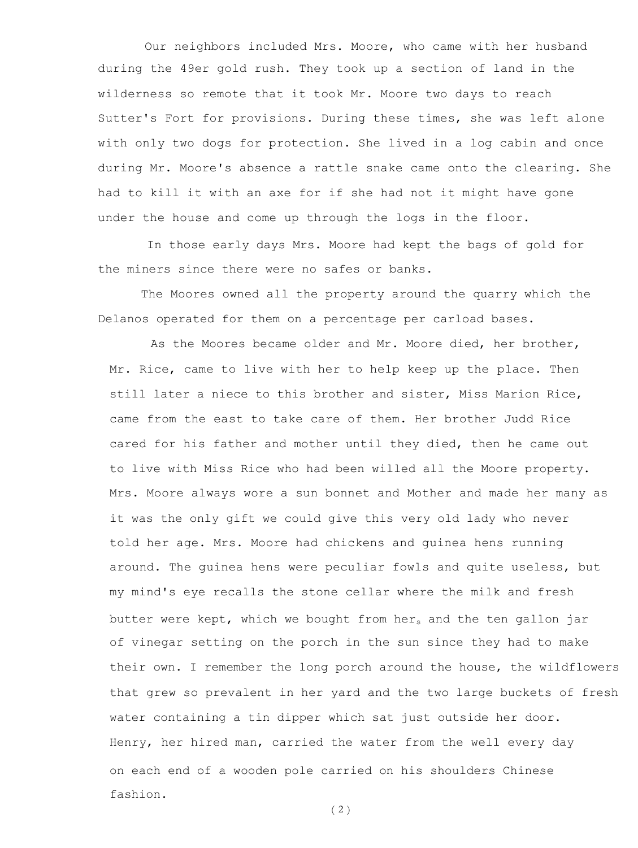Our neighbors included Mrs. Moore, who came with her husband during the 49er gold rush. They took up a section of land in the wilderness so remote that it took Mr. Moore two days to reach Sutter's Fort for provisions. During these times, she was left alone with only two dogs for protection. She lived in a log cabin and once during Mr. Moore's absence a rattle snake came onto the clearing. She had to kill it with an axe for if she had not it might have gone under the house and come up through the logs in the floor.

In those early days Mrs. Moore had kept the bags of gold for the miners since there were no safes or banks.

The Moores owned all the property around the quarry which the Delanos operated for them on a percentage per carload bases.

As the Moores became older and Mr. Moore died, her brother, Mr. Rice, came to live with her to help keep up the place. Then still later a niece to this brother and sister, Miss Marion Rice, came from the east to take care of them. Her brother Judd Rice cared for his father and mother until they died, then he came out to live with Miss Rice who had been willed all the Moore property. Mrs. Moore always wore a sun bonnet and Mother and made her many as it was the only gift we could give this very old lady who never told her age. Mrs. Moore had chickens and guinea hens running around. The guinea hens were peculiar fowls and quite useless, but my mind's eye recalls the stone cellar where the milk and fresh butter were kept, which we bought from hers and the ten gallon jar of vinegar setting on the porch in the sun since they had to make their own. I remember the long porch around the house, the wildflowers that grew so prevalent in her yard and the two large buckets of fresh water containing a tin dipper which sat just outside her door. Henry, her hired man, carried the water from the well every day on each end of a wooden pole carried on his shoulders Chinese fashion.

( 2 )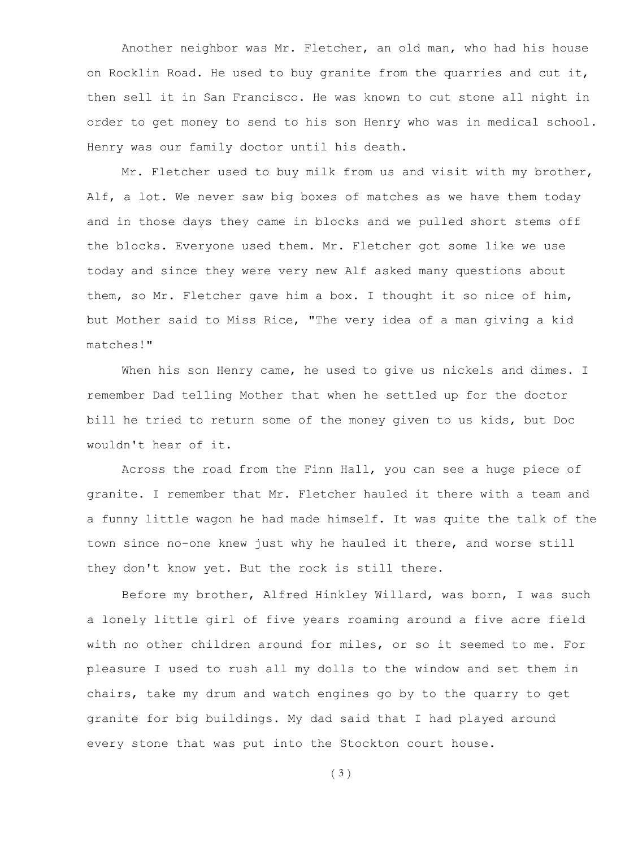Another neighbor was Mr. Fletcher, an old man, who had his house on Rocklin Road. He used to buy granite from the quarries and cut it, then sell it in San Francisco. He was known to cut stone all night in order to get money to send to his son Henry who was in medical school. Henry was our family doctor until his death.

Mr. Fletcher used to buy milk from us and visit with my brother, Alf, a lot. We never saw big boxes of matches as we have them today and in those days they came in blocks and we pulled short stems off the blocks. Everyone used them. Mr. Fletcher got some like we use today and since they were very new Alf asked many questions about them, so Mr. Fletcher gave him a box. I thought it so nice of him, but Mother said to Miss Rice, "The very idea of a man giving a kid matches!"

When his son Henry came, he used to give us nickels and dimes. I remember Dad telling Mother that when he settled up for the doctor bill he tried to return some of the money given to us kids, but Doc wouldn't hear of it.

Across the road from the Finn Hall, you can see a huge piece of granite. I remember that Mr. Fletcher hauled it there with a team and a funny little wagon he had made himself. It was quite the talk of the town since no-one knew just why he hauled it there, and worse still they don't know yet. But the rock is still there.

Before my brother, Alfred Hinkley Willard, was born, I was such a lonely little girl of five years roaming around a five acre field with no other children around for miles, or so it seemed to me. For pleasure I used to rush all my dolls to the window and set them in chairs, take my drum and watch engines go by to the quarry to get granite for big buildings. My dad said that I had played around every stone that was put into the Stockton court house.

( 3 )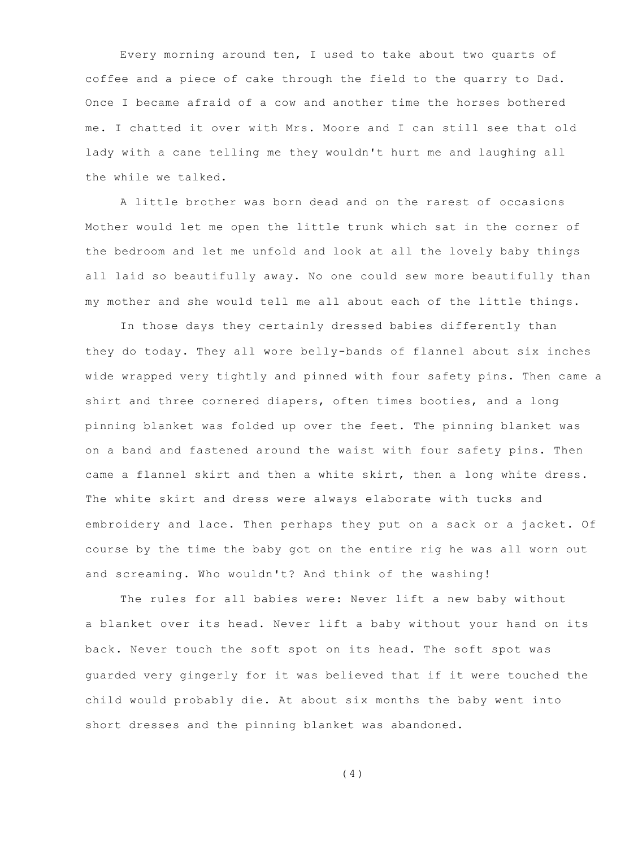Every morning around ten, I used to take about two quarts of coffee and a piece of cake through the field to the quarry to Dad. Once I became afraid of a cow and another time the horses bothered me. I chatted it over with Mrs. Moore and I can still see that old lady with a cane telling me they wouldn't hurt me and laughing all the while we talked.

A little brother was born dead and on the rarest of occasions Mother would let me open the little trunk which sat in the corner of the bedroom and let me unfold and look at all the lovely baby things all laid so beautifully away. No one could sew more beautifully than my mother and she would tell me all about each of the little things.

In those days they certainly dressed babies differently than they do today. They all wore belly-bands of flannel about six inches wide wrapped very tightly and pinned with four safety pins. Then came a shirt and three cornered diapers, often times booties, and a long pinning blanket was folded up over the feet. The pinning blanket was on a band and fastened around the waist with four safety pins. Then came a flannel skirt and then a white skirt, then a long white dress. The white skirt and dress were always elaborate with tucks and embroidery and lace. Then perhaps they put on a sack or a jacket. Of course by the time the baby got on the entire rig he was all worn out and screaming. Who wouldn't? And think of the washing!

The rules for all babies were: Never lift a new baby without a blanket over its head. Never lift a baby without your hand on its back. Never touch the soft spot on its head. The soft spot was guarded very gingerly for it was believed that if it were touched the child would probably die. At about six months the baby went into short dresses and the pinning blanket was abandoned.

(4)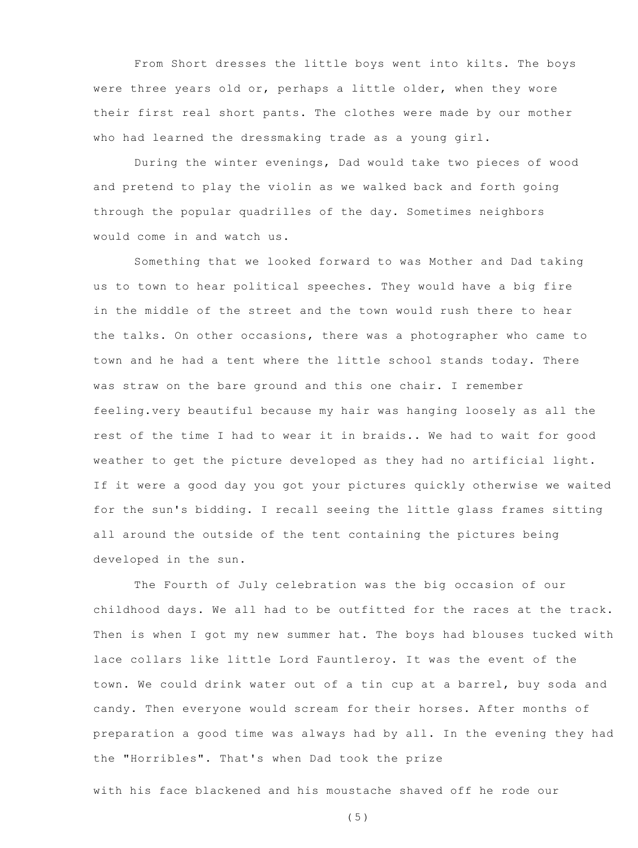From Short dresses the little boys went into kilts. The boys were three years old or, perhaps a little older, when they wore their first real short pants. The clothes were made by our mother who had learned the dressmaking trade as a young girl.

During the winter evenings, Dad would take two pieces of wood and pretend to play the violin as we walked back and forth going through the popular quadrilles of the day. Sometimes neighbors would come in and watch us.

Something that we looked forward to was Mother and Dad taking us to town to hear political speeches. They would have a big fire in the middle of the street and the town would rush there to hear the talks. On other occasions, there was a photographer who came to town and he had a tent where the little school stands today. There was straw on the bare ground and this one chair. I remember feeling.very beautiful because my hair was hanging loosely as all the rest of the time I had to wear it in braids.. We had to wait for good weather to get the picture developed as they had no artificial light. If it were a good day you got your pictures quickly otherwise we waited for the sun's bidding. I recall seeing the little glass frames sitting all around the outside of the tent containing the pictures being developed in the sun.

The Fourth of July celebration was the big occasion of our childhood days. We all had to be outfitted for the races at the track. Then is when I got my new summer hat. The boys had blouses tucked with lace collars like little Lord Fauntleroy. It was the event of the town. We could drink water out of a tin cup at a barrel, buy soda and candy. Then everyone would scream for their horses. After months of preparation a good time was always had by all. In the evening they had the "Horribles". That's when Dad took the prize

with his face blackened and his moustache shaved off he rode our

(5)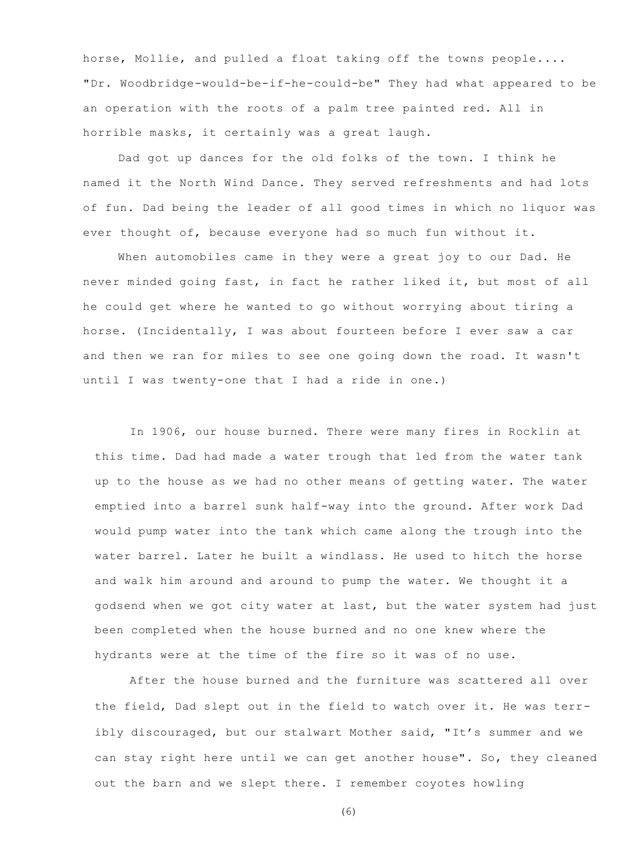horse, Mollie, and pulled a float taking off the towns people.... "Dr. Woodbridge-would-be-if-he-could-be" They had what appeared to be an operation with the roots of a palm tree painted red. All in horrible masks, it certainly was a great laugh.

Dad got up dances for the old folks of the town. I think he named it the North Wind Dance. They served refreshments and had lots of fun. Dad being the leader of all good times in which no liquor was ever thought of, because everyone had so much fun without it.

When automobiles came in they were a great joy to our Dad. He never minded going fast, in fact he rather liked it, but most of all he could get where he wanted to go without worrying about tiring a horse. (Incidentally, I was about fourteen before I ever saw a car and then we ran for miles to see one going down the road. It wasn't until I was twenty-one that I had a ride in one.)

In 1906, our house burned. There were many fires in Rocklin at this time. Dad had made a water trough that led from the water tank up to the house as we had no other means of getting water. The water emptied into a barrel sunk half-way into the ground. After work Dad would pump water into the tank which came along the trough into the water barrel. Later he built a windlass. He used to hitch the horse and walk him around and around to pump the water. We thought it a godsend when we got city water at last, but the water system had just been completed when the house burned and no one knew where the hydrants were at the time of the fire so it was of no use.

After the house burned and the furniture was scattered all over the field, Dad slept out in the field to watch over it. He was terribly discouraged, but our stalwart Mother said, "It's summer and we can stay right here until we can get another house". So, they cleaned out the barn and we slept there. I remember coyotes howling

(6)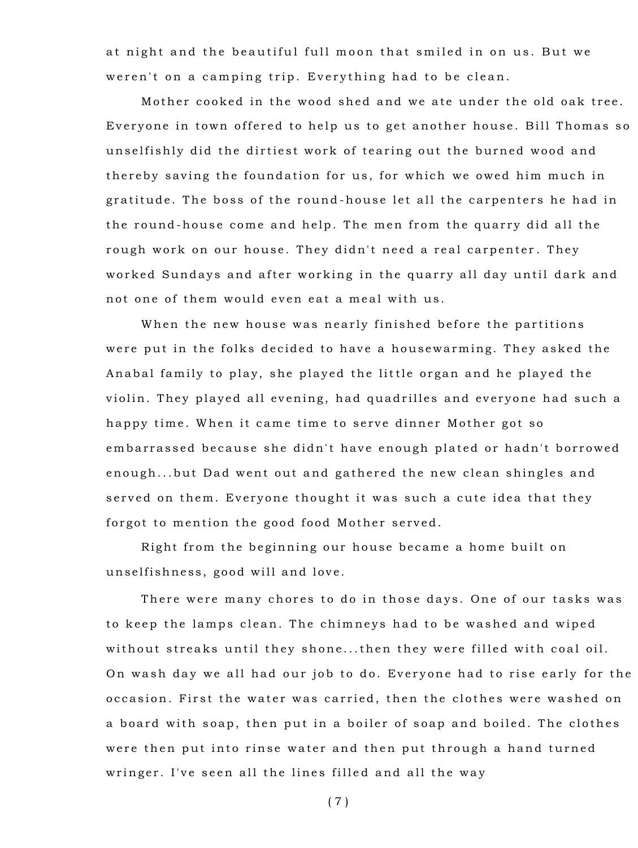at night and the beautiful full moon that smiled in on us. But we weren't on a camping trip. Everything had to be clean.

Mother cooked in the wood shed and we ate under the old oak tree. Everyone in town offered to help us to get another house. Bill Thomas so unselfishly did the dirtiest work of tearing out the burned wood and thereby saving the foundation for us, for which we owed him much in gratitude. The boss of the round-house let all the carpenters he had in the round-house come and help. The men from the quarry did all the rough work on our house. They didn't need a real carpenter. They worked Sundays and after working in the quarry all day until dark and not one of them would even eat a meal with us.

When the new house was nearly finished before the partitions were put in the folks decided to have a housewarming. They asked the Anabal family to play, she played the little organ and he played the violin. They played all evening, had quadrilles and everyone had such a happy time. When it came time to serve dinner Mother got so embarrassed because she didn't have enough plated or hadn't borrowed enough...but Dad went out and gathered the new clean shingles and served on them. Everyone thought it was such a cute idea that they forgot to mention the good food Mother served.

Right from the beginning our house became a home built on unselfishness, good will and love.

There were many chores to do in those days. One of our tasks was to keep the lamps clean. The chimneys had to be washed and wiped without streaks until they shone...then they were filled with coal oil. On wash day we all had our job to do. Everyone had to rise early for the occasion. First the water was carried, then the clothes were washed on a board with soap, then put in a boiler of soap and boiled. The clothes were then put into rinse water and then put through a hand turned wringer. I've seen all the lines filled and all the way

( 7 )